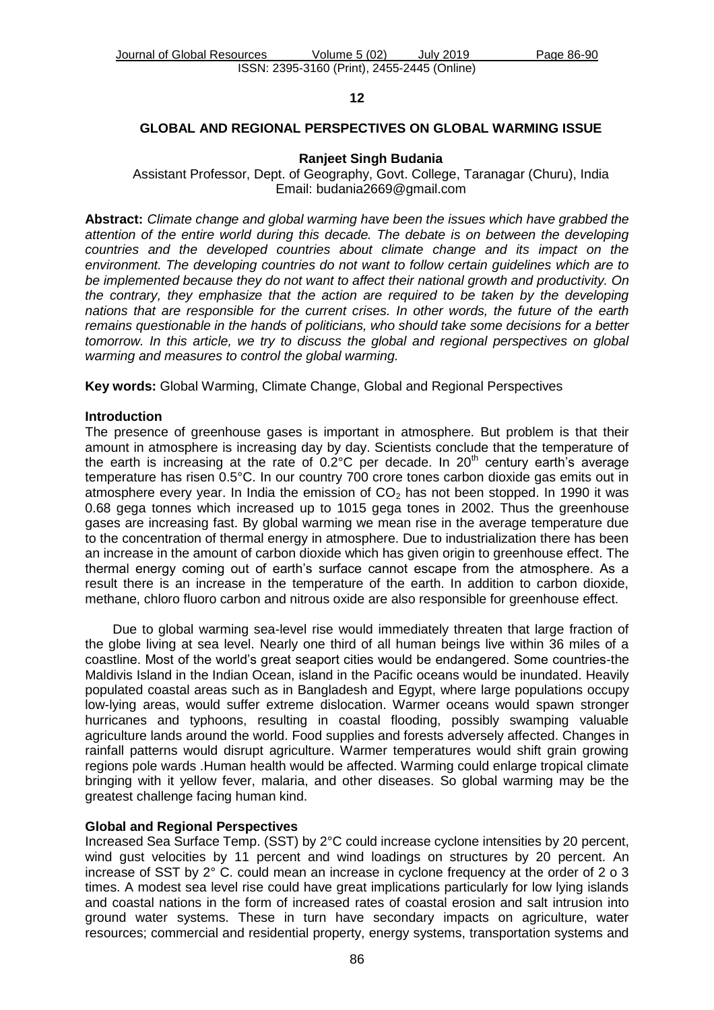## **12**

## **GLOBAL AND REGIONAL PERSPECTIVES ON GLOBAL WARMING ISSUE**

#### **Ranjeet Singh Budania**

Assistant Professor, Dept. of Geography, Govt. College, Taranagar (Churu), India Email: budania2669@gmail.com

**Abstract:** *Climate change and global warming have been the issues which have grabbed the attention of the entire world during this decade. The debate is on between the developing countries and the developed countries about climate change and its impact on the environment. The developing countries do not want to follow certain guidelines which are to be implemented because they do not want to affect their national growth and productivity. On the contrary, they emphasize that the action are required to be taken by the developing nations that are responsible for the current crises. In other words, the future of the earth remains questionable in the hands of politicians, who should take some decisions for a better tomorrow. In this article, we try to discuss the global and regional perspectives on global warming and measures to control the global warming.*

**Key words:** Global Warming, Climate Change, Global and Regional Perspectives

### **Introduction**

The presence of greenhouse gases is important in atmosphere. But problem is that their amount in atmosphere is increasing day by day. Scientists conclude that the temperature of the earth is increasing at the rate of  $0.2^{\circ}$ C per decade. In  $20^{\text{th}}$  century earth's average temperature has risen 0.5°C. In our country 700 crore tones carbon dioxide gas emits out in atmosphere every year. In India the emission of  $CO<sub>2</sub>$  has not been stopped. In 1990 it was 0.68 gega tonnes which increased up to 1015 gega tones in 2002. Thus the greenhouse gases are increasing fast. By global warming we mean rise in the average temperature due to the concentration of thermal energy in atmosphere. Due to industrialization there has been an increase in the amount of carbon dioxide which has given origin to greenhouse effect. The thermal energy coming out of earth's surface cannot escape from the atmosphere. As a result there is an increase in the temperature of the earth. In addition to carbon dioxide, methane, chloro fluoro carbon and nitrous oxide are also responsible for greenhouse effect.

Due to global warming sea-level rise would immediately threaten that large fraction of the globe living at sea level. Nearly one third of all human beings live within 36 miles of a coastline. Most of the world's great seaport cities would be endangered. Some countries-the Maldivis Island in the Indian Ocean, island in the Pacific oceans would be inundated. Heavily populated coastal areas such as in Bangladesh and Egypt, where large populations occupy low-lying areas, would suffer extreme dislocation. Warmer oceans would spawn stronger hurricanes and typhoons, resulting in coastal flooding, possibly swamping valuable agriculture lands around the world. Food supplies and forests adversely affected. Changes in rainfall patterns would disrupt agriculture. Warmer temperatures would shift grain growing regions pole wards .Human health would be affected. Warming could enlarge tropical climate bringing with it yellow fever, malaria, and other diseases. So global warming may be the greatest challenge facing human kind.

## **Global and Regional Perspectives**

Increased Sea Surface Temp. (SST) by 2°C could increase cyclone intensities by 20 percent, wind gust velocities by 11 percent and wind loadings on structures by 20 percent. An increase of SST by 2° C. could mean an increase in cyclone frequency at the order of 2 o 3 times. A modest sea level rise could have great implications particularly for low lying islands and coastal nations in the form of increased rates of coastal erosion and salt intrusion into ground water systems. These in turn have secondary impacts on agriculture, water resources; commercial and residential property, energy systems, transportation systems and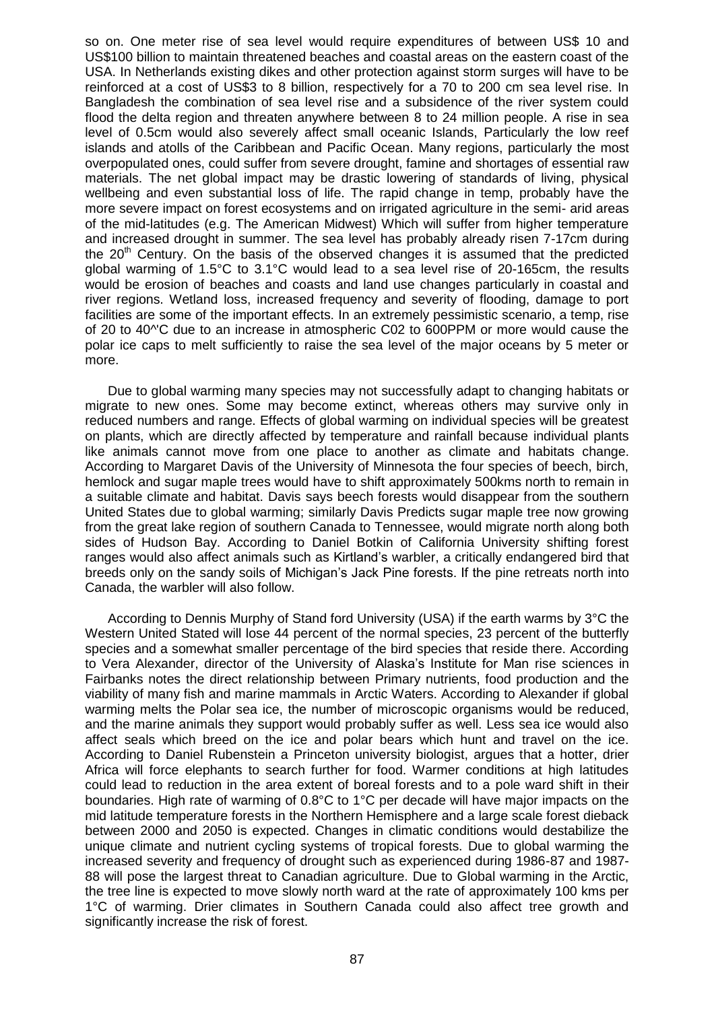so on. One meter rise of sea level would require expenditures of between US\$ 10 and US\$100 billion to maintain threatened beaches and coastal areas on the eastern coast of the USA. In Netherlands existing dikes and other protection against storm surges will have to be reinforced at a cost of US\$3 to 8 billion, respectively for a 70 to 200 cm sea level rise. In Bangladesh the combination of sea level rise and a subsidence of the river system could flood the delta region and threaten anywhere between 8 to 24 million people. A rise in sea level of 0.5cm would also severely affect small oceanic Islands, Particularly the low reef islands and atolls of the Caribbean and Pacific Ocean. Many regions, particularly the most overpopulated ones, could suffer from severe drought, famine and shortages of essential raw materials. The net global impact may be drastic lowering of standards of living, physical wellbeing and even substantial loss of life. The rapid change in temp, probably have the more severe impact on forest ecosystems and on irrigated agriculture in the semi- arid areas of the mid-latitudes (e.g. The American Midwest) Which will suffer from higher temperature and increased drought in summer. The sea level has probably already risen 7-17cm during the  $20<sup>th</sup>$  Century. On the basis of the observed changes it is assumed that the predicted global warming of 1.5°C to 3.1°C would lead to a sea level rise of 20-165cm, the results would be erosion of beaches and coasts and land use changes particularly in coastal and river regions. Wetland loss, increased frequency and severity of flooding, damage to port facilities are some of the important effects. In an extremely pessimistic scenario, a temp, rise of 20 to 40^'C due to an increase in atmospheric C02 to 600PPM or more would cause the polar ice caps to melt sufficiently to raise the sea level of the major oceans by 5 meter or more.

Due to global warming many species may not successfully adapt to changing habitats or migrate to new ones. Some may become extinct, whereas others may survive only in reduced numbers and range. Effects of global warming on individual species will be greatest on plants, which are directly affected by temperature and rainfall because individual plants like animals cannot move from one place to another as climate and habitats change. According to Margaret Davis of the University of Minnesota the four species of beech, birch, hemlock and sugar maple trees would have to shift approximately 500kms north to remain in a suitable climate and habitat. Davis says beech forests would disappear from the southern United States due to global warming; similarly Davis Predicts sugar maple tree now growing from the great lake region of southern Canada to Tennessee, would migrate north along both sides of Hudson Bay. According to Daniel Botkin of California University shifting forest ranges would also affect animals such as Kirtland's warbler, a critically endangered bird that breeds only on the sandy soils of Michigan's Jack Pine forests. If the pine retreats north into Canada, the warbler will also follow.

According to Dennis Murphy of Stand ford University (USA) if the earth warms by 3°C the Western United Stated will lose 44 percent of the normal species, 23 percent of the butterfly species and a somewhat smaller percentage of the bird species that reside there. According to Vera Alexander, director of the University of Alaska's Institute for Man rise sciences in Fairbanks notes the direct relationship between Primary nutrients, food production and the viability of many fish and marine mammals in Arctic Waters. According to Alexander if global warming melts the Polar sea ice, the number of microscopic organisms would be reduced, and the marine animals they support would probably suffer as well. Less sea ice would also affect seals which breed on the ice and polar bears which hunt and travel on the ice. According to Daniel Rubenstein a Princeton university biologist, argues that a hotter, drier Africa will force elephants to search further for food. Warmer conditions at high latitudes could lead to reduction in the area extent of boreal forests and to a pole ward shift in their boundaries. High rate of warming of 0.8°C to 1°C per decade will have major impacts on the mid latitude temperature forests in the Northern Hemisphere and a large scale forest dieback between 2000 and 2050 is expected. Changes in climatic conditions would destabilize the unique climate and nutrient cycling systems of tropical forests. Due to global warming the increased severity and frequency of drought such as experienced during 1986-87 and 1987- 88 will pose the largest threat to Canadian agriculture. Due to Global warming in the Arctic, the tree line is expected to move slowly north ward at the rate of approximately 100 kms per 1°C of warming. Drier climates in Southern Canada could also affect tree growth and significantly increase the risk of forest.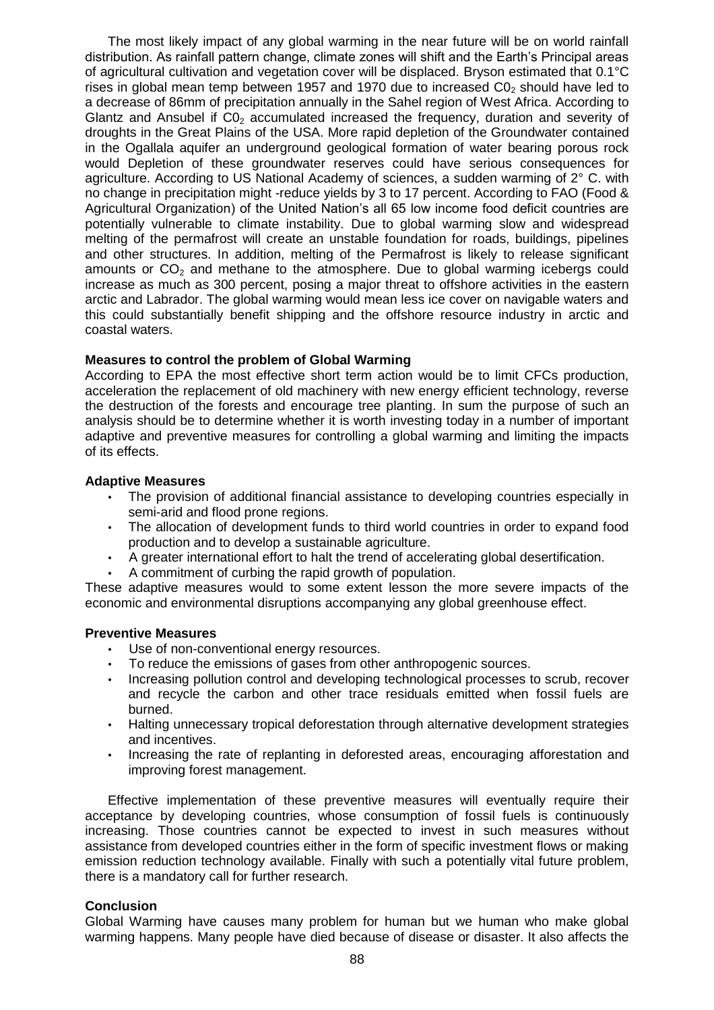The most likely impact of any global warming in the near future will be on world rainfall distribution. As rainfall pattern change, climate zones will shift and the Earth's Principal areas of agricultural cultivation and vegetation cover will be displaced. Bryson estimated that 0.1°C rises in global mean temp between 1957 and 1970 due to increased  $CO<sub>2</sub>$  should have led to a decrease of 86mm of precipitation annually in the Sahel region of West Africa. According to Glantz and Ansubel if  $CO<sub>2</sub>$  accumulated increased the frequency, duration and severity of droughts in the Great Plains of the USA. More rapid depletion of the Groundwater contained in the Ogallala aquifer an underground geological formation of water bearing porous rock would Depletion of these groundwater reserves could have serious consequences for agriculture. According to US National Academy of sciences, a sudden warming of 2° C. with no change in precipitation might -reduce yields by 3 to 17 percent. According to FAO (Food & Agricultural Organization) of the United Nation's all 65 low income food deficit countries are potentially vulnerable to climate instability. Due to global warming slow and widespread melting of the permafrost will create an unstable foundation for roads, buildings, pipelines and other structures. In addition, melting of the Permafrost is likely to release significant amounts or  $CO<sub>2</sub>$  and methane to the atmosphere. Due to global warming icebergs could increase as much as 300 percent, posing a major threat to offshore activities in the eastern arctic and Labrador. The global warming would mean less ice cover on navigable waters and this could substantially benefit shipping and the offshore resource industry in arctic and coastal waters.

# **Measures to control the problem of Global Warming**

According to EPA the most effective short term action would be to limit CFCs production, acceleration the replacement of old machinery with new energy efficient technology, reverse the destruction of the forests and encourage tree planting. In sum the purpose of such an analysis should be to determine whether it is worth investing today in a number of important adaptive and preventive measures for controlling a global warming and limiting the impacts of its effects.

# **Adaptive Measures**

- The provision of additional financial assistance to developing countries especially in semi-arid and flood prone regions.
- The allocation of development funds to third world countries in order to expand food production and to develop a sustainable agriculture.
- A greater international effort to halt the trend of accelerating global desertification.
- A commitment of curbing the rapid growth of population.

These adaptive measures would to some extent lesson the more severe impacts of the economic and environmental disruptions accompanying any global greenhouse effect.

# **Preventive Measures**

- Use of non-conventional energy resources.
- To reduce the emissions of gases from other anthropogenic sources.<br>• Increasing pollution control and developing technological processes to
- Increasing pollution control and developing technological processes to scrub, recover and recycle the carbon and other trace residuals emitted when fossil fuels are burned.
- Halting unnecessary tropical deforestation through alternative development strategies and incentives.
- Increasing the rate of replanting in deforested areas, encouraging afforestation and improving forest management.

Effective implementation of these preventive measures will eventually require their acceptance by developing countries, whose consumption of fossil fuels is continuously increasing. Those countries cannot be expected to invest in such measures without assistance from developed countries either in the form of specific investment flows or making emission reduction technology available. Finally with such a potentially vital future problem, there is a mandatory call for further research.

# **Conclusion**

Global Warming have causes many problem for human but we human who make global warming happens. Many people have died because of disease or disaster. It also affects the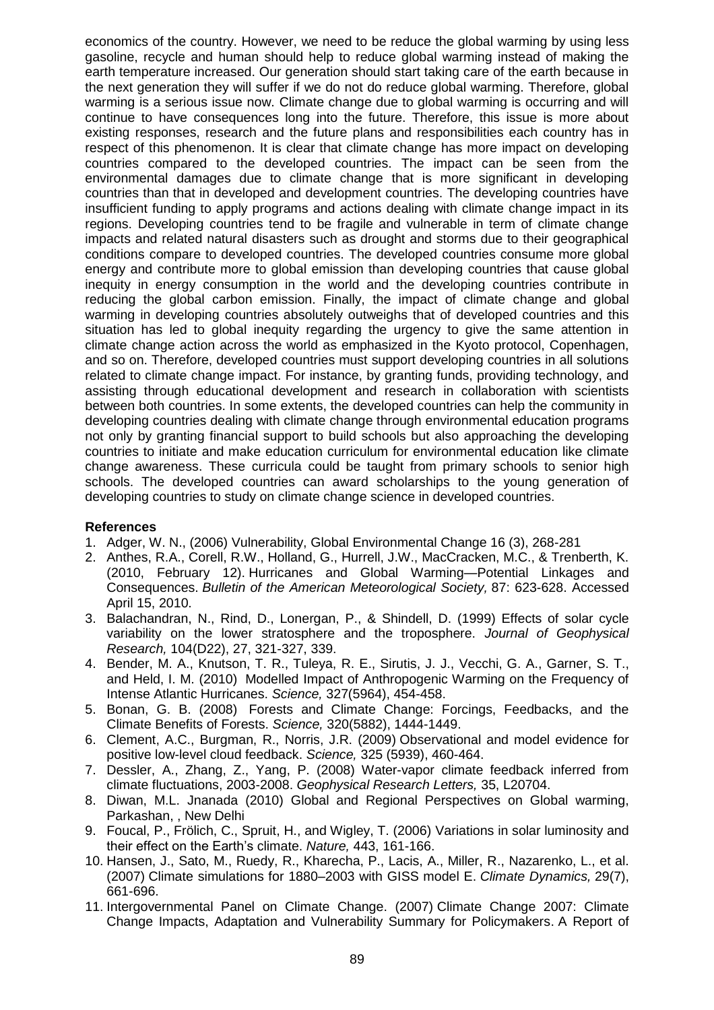economics of the country. However, we need to be reduce the global warming by using less gasoline, recycle and human should help to reduce global warming instead of making the earth temperature increased. Our generation should start taking care of the earth because in the next generation they will suffer if we do not do reduce global warming. Therefore, global warming is a serious issue now. Climate change due to global warming is occurring and will continue to have consequences long into the future. Therefore, this issue is more about existing responses, research and the future plans and responsibilities each country has in respect of this phenomenon. It is clear that climate change has more impact on developing countries compared to the developed countries. The impact can be seen from the environmental damages due to climate change that is more significant in developing countries than that in developed and development countries. The developing countries have insufficient funding to apply programs and actions dealing with climate change impact in its regions. Developing countries tend to be fragile and vulnerable in term of climate change impacts and related natural disasters such as drought and storms due to their geographical conditions compare to developed countries. The developed countries consume more global energy and contribute more to global emission than developing countries that cause global inequity in energy consumption in the world and the developing countries contribute in reducing the global carbon emission. Finally, the impact of climate change and global warming in developing countries absolutely outweighs that of developed countries and this situation has led to global inequity regarding the urgency to give the same attention in climate change action across the world as emphasized in the Kyoto protocol, Copenhagen, and so on. Therefore, developed countries must support developing countries in all solutions related to climate change impact. For instance, by granting funds, providing technology, and assisting through educational development and research in collaboration with scientists between both countries. In some extents, the developed countries can help the community in developing countries dealing with climate change through environmental education programs not only by granting financial support to build schools but also approaching the developing countries to initiate and make education curriculum for environmental education like climate change awareness. These curricula could be taught from primary schools to senior high schools. The developed countries can award scholarships to the young generation of developing countries to study on climate change science in developed countries.

# **References**

- 1. Adger, W. N., (2006) Vulnerability, Global Environmental Change 16 (3), 268-281
- 2. Anthes, R.A., Corell, R.W., Holland, G., Hurrell, J.W., MacCracken, M.C., & Trenberth, K. (2010, February 12). [Hurricanes and Global Warming—Potential Linkages and](http://dx.doi.org/doi:10.1175/BAMS-87-5-617)  [Consequences.](http://dx.doi.org/doi:10.1175/BAMS-87-5-617) *Bulletin of the American Meteorological Society,* 87: 623-628. Accessed April 15, 2010.
- 3. Balachandran, N., Rind, D., Lonergan, P., & Shindell, D. (1999) [Effects of solar cycle](http://dx.doi.org/10.1029/1999JD900924)  [variability on the lower stratosphere and the troposphere.](http://dx.doi.org/10.1029/1999JD900924) *Journal of Geophysical Research,* 104(D22), 27, 321-327, 339.
- 4. Bender, M. A., Knutson, T. R., Tuleya, R. E., Sirutis, J. J., Vecchi, G. A., Garner, S. T., and Held, I. M. (2010) Modelled [Impact of Anthropogenic Warming on the Frequency of](http://dx.doi.org/doi:10.1126/science.1180568)  [Intense Atlantic Hurricanes.](http://dx.doi.org/doi:10.1126/science.1180568) *Science,* 327(5964), 454-458.
- 5. Bonan, G. B. (2008) [Forests and Climate Change: Forcings, Feedbacks, and the](http://dx.doi.org/doi:10.1126/science.1155121)  [Climate Benefits of Forests.](http://dx.doi.org/doi:10.1126/science.1155121) *Science,* 320(5882), 1444-1449.
- 6. Clement, A.C., Burgman, R., Norris, J.R. (2009) [Observational and model evidence for](http://dx.doi.org/doi:10.1126/science.1171255)  [positive low-level cloud feedback.](http://dx.doi.org/doi:10.1126/science.1171255) *Science,* 325 (5939), 460-464.
- 7. Dessler, A., Zhang, Z., Yang, P. (2008) [Water-vapor climate feedback inferred from](http://dx.doi.org/doi:10.1029/2008GL035333)  [climate fluctuations, 2003-2008.](http://dx.doi.org/doi:10.1029/2008GL035333) *Geophysical Research Letters,* 35, L20704.
- 8. Diwan, M.L. Jnanada (2010) Global and Regional Perspectives on Global warming, Parkashan, , New Delhi
- 9. Foucal, P., Frölich, C., Spruit, H., and Wigley, T. (2006) [Variations in solar luminosity and](http://dx.doi.org/doi:10.1038/nature05072)  [their effect on the Earth's climate.](http://dx.doi.org/doi:10.1038/nature05072) *Nature,* 443, 161-166.
- 10. Hansen, J., Sato, M., Ruedy, R., Kharecha, P., Lacis, A., Miller, R., Nazarenko, L., et al. (2007) [Climate simulations for 1880–2003 with GISS model E.](http://dx.doi.org/10.1007/s00382-007-0255-8) *Climate Dynamics,* 29(7), 661-696.
- 11. Intergovernmental Panel on Climate Change. (2007) [Climate Change 2007: Climate](http://www.ipcc.ch/publications_and_data/ar4/wg2/en/contents.html)  [Change Impacts, Adaptation and Vulnerability Summary for Policymakers.](http://www.ipcc.ch/publications_and_data/ar4/wg2/en/contents.html) A Report of